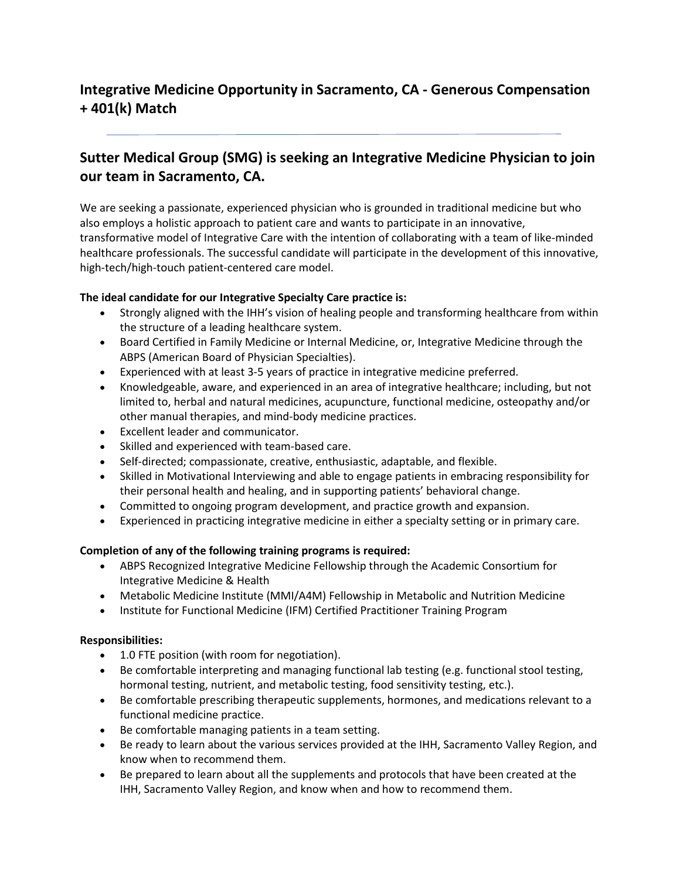# **Integrative Medicine Opportunity in Sacramento, CA - Generous Compensation + 401(k) Match**

# **Sutter Medical Group (SMG) is seeking an Integrative Medicine Physician to join our team in Sacramento, CA.**

We are seeking a passionate, experienced physician who is grounded in traditional medicine but who also employs a holistic approach to patient care and wants to participate in an innovative, transformative model of Integrative Care with the intention of collaborating with a team of like-minded healthcare professionals. The successful candidate will participate in the development of this innovative, high-tech/high-touch patient-centered care model.

## **The ideal candidate for our Integrative Specialty Care practice is:**

- Strongly aligned with the IHH's vision of healing people and transforming healthcare from within the structure of a leading healthcare system.
- Board Certified in Family Medicine or Internal Medicine, or, Integrative Medicine through the ABPS (American Board of Physician Specialties).
- Experienced with at least 3-5 years of practice in integrative medicine preferred.
- Knowledgeable, aware, and experienced in an area of integrative healthcare; including, but not limited to, herbal and natural medicines, acupuncture, functional medicine, osteopathy and/or other manual therapies, and mind-body medicine practices.
- Excellent leader and communicator.
- Skilled and experienced with team-based care.
- Self-directed; compassionate, creative, enthusiastic, adaptable, and flexible.
- Skilled in Motivational Interviewing and able to engage patients in embracing responsibility for their personal health and healing, and in supporting patients' behavioral change.
- Committed to ongoing program development, and practice growth and expansion.
- Experienced in practicing integrative medicine in either a specialty setting or in primary care.

## **Completion of any of the following training programs is required:**

- ABPS Recognized Integrative Medicine Fellowship through the Academic Consortium for Integrative Medicine & Health
- Metabolic Medicine Institute (MMI/A4M) Fellowship in Metabolic and Nutrition Medicine
- Institute for Functional Medicine (IFM) Certified Practitioner Training Program

## **Responsibilities:**

- 1.0 FTE position (with room for negotiation).
- Be comfortable interpreting and managing functional lab testing (e.g. functional stool testing, hormonal testing, nutrient, and metabolic testing, food sensitivity testing, etc.).
- Be comfortable prescribing therapeutic supplements, hormones, and medications relevant to a functional medicine practice.
- Be comfortable managing patients in a team setting.
- Be ready to learn about the various services provided at the IHH, Sacramento Valley Region, and know when to recommend them.
- Be prepared to learn about all the supplements and protocols that have been created at the IHH, Sacramento Valley Region, and know when and how to recommend them.